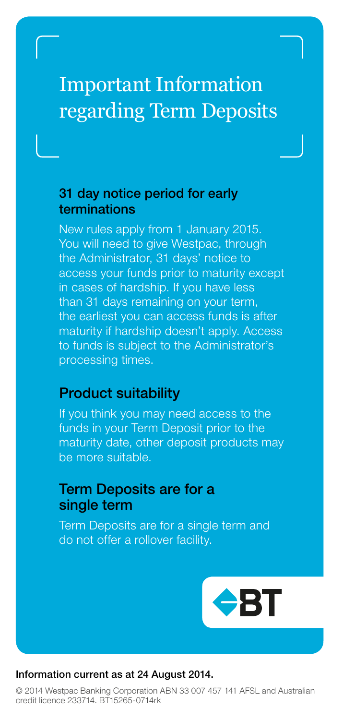# Important Information regarding Term Deposits

### 31 day notice period for early terminations

New rules apply from 1 January 2015. You will need to give Westpac, through the Administrator, 31 days' notice to access your funds prior to maturity except in cases of hardship. If you have less than 31 days remaining on your term, the earliest you can access funds is after maturity if hardship doesn't apply. Access to funds is subject to the Administrator's processing times.

## Product suitability

If you think you may need access to the funds in your Term Deposit prior to the maturity date, other deposit products may be more suitable.

## Term Deposits are for a single term

Term Deposits are for a single term and do not offer a rollover facility.



#### Information current as at 24 August 2014.

© 2014 Westpac Banking Corporation ABN 33 007 457 141 AFSL and Australian credit licence 233714. BT15265-0714rk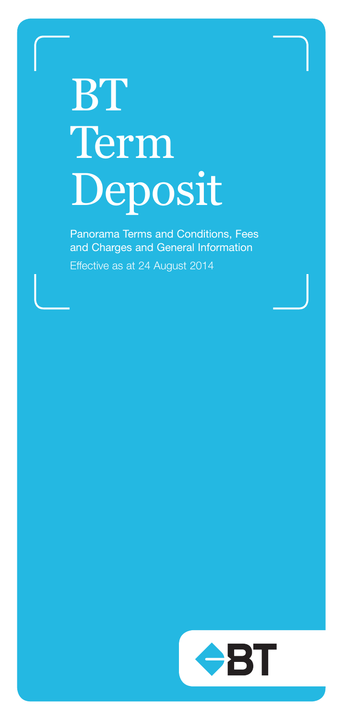# **BT** Term Deposit

Panorama Terms and Conditions, Fees and Charges and General Information

Effective as at 24 August 2014

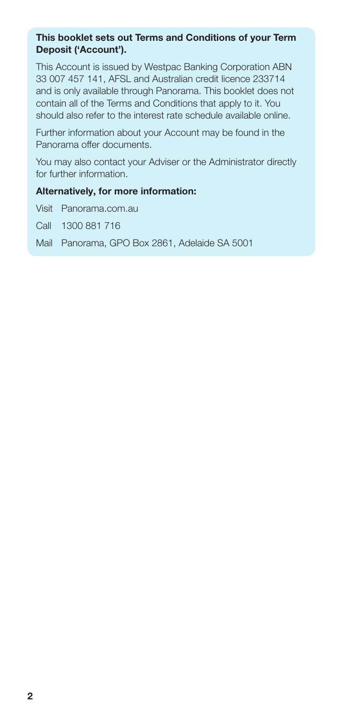#### This booklet sets out Terms and Conditions of your Term Deposit ('Account').

This Account is issued by Westpac Banking Corporation ABN 33 007 457 141, AFSL and Australian credit licence 233714 and is only available through Panorama. This booklet does not contain all of the Terms and Conditions that apply to it. You should also refer to the interest rate schedule available online.

Further information about your Account may be found in the Panorama offer documents.

You may also contact your Adviser or the Administrator directly for further information.

#### Alternatively, for more information:

Visit Panorama.com.au

Call 1300 881 716

Mail Panorama, GPO Box 2861, Adelaide SA 5001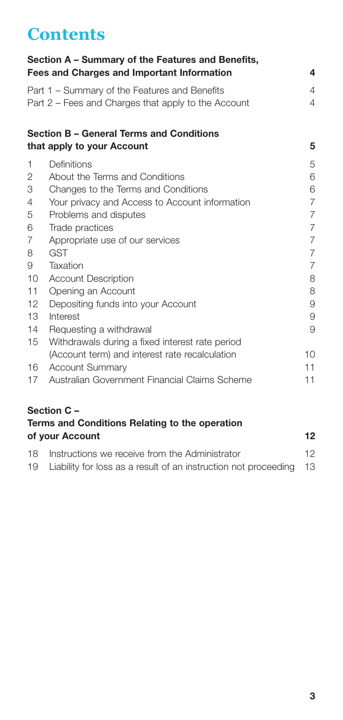# **Contents**

| Section A - Summary of the Features and Benefits,<br>Fees and Charges and Important Information |                                                                                                      |                |  |  |
|-------------------------------------------------------------------------------------------------|------------------------------------------------------------------------------------------------------|----------------|--|--|
|                                                                                                 | Part 1 – Summary of the Features and Benefits<br>Part 2 – Fees and Charges that apply to the Account | 4<br>4         |  |  |
|                                                                                                 | Section B - General Terms and Conditions<br>that apply to your Account                               | 5              |  |  |
| 1                                                                                               | Definitions                                                                                          | 5              |  |  |
| 2                                                                                               | About the Terms and Conditions                                                                       | 6              |  |  |
| 3                                                                                               | Changes to the Terms and Conditions                                                                  | 6              |  |  |
| 4                                                                                               | Your privacy and Access to Account information                                                       | $\overline{7}$ |  |  |
| 5                                                                                               | Problems and disputes                                                                                | $\overline{7}$ |  |  |
| 6                                                                                               | Trade practices                                                                                      | $\overline{7}$ |  |  |
| 7                                                                                               | Appropriate use of our services                                                                      | $\overline{7}$ |  |  |
| 8                                                                                               | <b>GST</b>                                                                                           | $\overline{7}$ |  |  |
| 9                                                                                               | Taxation                                                                                             | $\overline{7}$ |  |  |
| 10                                                                                              | <b>Account Description</b>                                                                           | 8              |  |  |
| 11                                                                                              | Opening an Account                                                                                   | 8              |  |  |
| 12                                                                                              | Depositing funds into your Account                                                                   | 9              |  |  |
| 13                                                                                              | Interest                                                                                             | 9              |  |  |
| 14                                                                                              | Requesting a withdrawal                                                                              | 9              |  |  |
| 15                                                                                              | Withdrawals during a fixed interest rate period                                                      |                |  |  |
|                                                                                                 | (Account term) and interest rate recalculation                                                       | 10             |  |  |
| 16                                                                                              | <b>Account Summary</b>                                                                               | 11             |  |  |
| 17                                                                                              | Australian Government Financial Claims Scheme                                                        | 11             |  |  |

## [Section C –](#page-12-0)

|    | Terms and Conditions Relating to the operation |                 |  |  |
|----|------------------------------------------------|-----------------|--|--|
|    | of your Account                                | 12              |  |  |
| 18 | Instructions we receive from the Administrator | 12 <sub>1</sub> |  |  |

| 19 Liability for loss as a result of an instruction not proceeding 13 |  |  |  |  |  |  |  |
|-----------------------------------------------------------------------|--|--|--|--|--|--|--|
|-----------------------------------------------------------------------|--|--|--|--|--|--|--|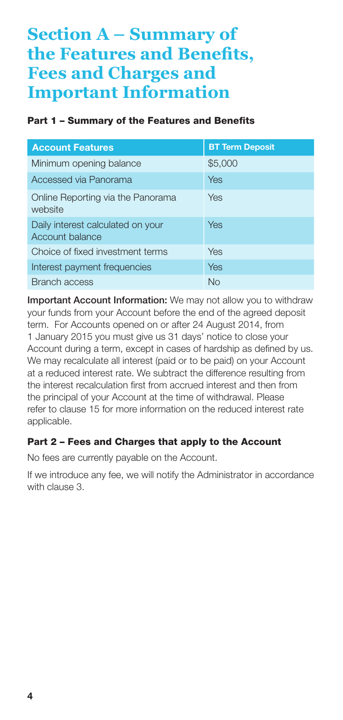## <span id="page-4-0"></span>**Section A – Summary of the Features and Benefits, Fees and Charges and Important Information**

#### Part 1 – Summary of the Features and Benefits

| <b>Account Features</b>                              | <b>BT Term Deposit</b> |
|------------------------------------------------------|------------------------|
| Minimum opening balance                              | \$5,000                |
| Accessed via Panorama                                | Yes                    |
| Online Reporting via the Panorama<br>website         | Yes                    |
| Daily interest calculated on your<br>Account balance | Yes                    |
| Choice of fixed investment terms                     | Yes                    |
| Interest payment frequencies                         | Yes                    |
| <b>Branch access</b>                                 | No                     |

Important Account Information: We may not allow you to withdraw your funds from your Account before the end of the agreed deposit term. For Accounts opened on or after 24 August 2014, from 1 January 2015 you must give us 31 days' notice to close your Account during a term, except in cases of hardship as defined by us. We may recalculate all interest (paid or to be paid) on your Account at a reduced interest rate. We subtract the difference resulting from the interest recalculation first from accrued interest and then from the principal of your Account at the time of withdrawal. Please refer to clause 15 for more information on the reduced interest rate applicable.

#### Part 2 – Fees and Charges that apply to the Account

No fees are currently payable on the Account.

If we introduce any fee, we will notify the Administrator in accordance with clause 3.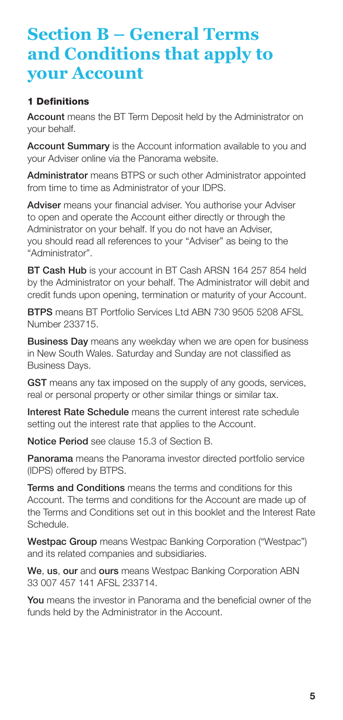## <span id="page-5-0"></span>**Section B – General Terms and Conditions that apply to your Account**

#### 1 Definitions

Account means the BT Term Deposit held by the Administrator on your behalf.

Account Summary is the Account information available to you and your Adviser online via the Panorama website.

Administrator means BTPS or such other Administrator appointed from time to time as Administrator of your IDPS.

Adviser means your financial adviser. You authorise your Adviser to open and operate the Account either directly or through the Administrator on your behalf. If you do not have an Adviser, you should read all references to your "Adviser" as being to the "Administrator".

BT Cash Hub is your account in BT Cash ARSN 164 257 854 held by the Administrator on your behalf. The Administrator will debit and credit funds upon opening, termination or maturity of your Account.

BTPS means BT Portfolio Services Ltd ABN 730 9505 5208 AFSL Number 233715.

**Business Day** means any weekday when we are open for business in New South Wales. Saturday and Sunday are not classified as Business Days.

GST means any tax imposed on the supply of any goods, services, real or personal property or other similar things or similar tax.

Interest Rate Schedule means the current interest rate schedule setting out the interest rate that applies to the Account.

Notice Period see clause 15.3 of Section B.

Panorama means the Panorama investor directed portfolio service (IDPS) offered by BTPS.

Terms and Conditions means the terms and conditions for this Account. The terms and conditions for the Account are made up of the Terms and Conditions set out in this booklet and the Interest Rate Schedule.

Westpac Group means Westpac Banking Corporation ("Westpac") and its related companies and subsidiaries.

We, us, our and ours means Westpac Banking Corporation ABN 33 007 457 141 AFSL 233714.

You means the investor in Panorama and the beneficial owner of the funds held by the Administrator in the Account.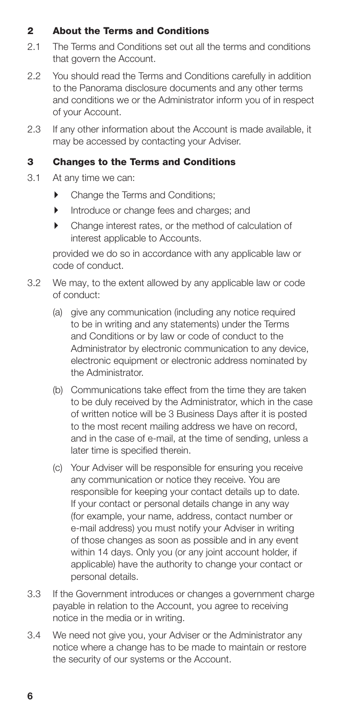#### <span id="page-6-0"></span>2 About the Terms and Conditions

- 2.1 The Terms and Conditions set out all the terms and conditions that govern the Account.
- 2.2 You should read the Terms and Conditions carefully in addition to the Panorama disclosure documents and any other terms and conditions we or the Administrator inform you of in respect of your Account.
- 2.3 If any other information about the Account is made available, it may be accessed by contacting your Adviser.

#### 3 Changes to the Terms and Conditions

- 3.1 At any time we can:
	- Change the Terms and Conditions;
	- **Introduce or change fees and charges: and**
	- $\blacktriangleright$  Change interest rates, or the method of calculation of interest applicable to Accounts.

 provided we do so in accordance with any applicable law or code of conduct.

- 3.2 We may, to the extent allowed by any applicable law or code of conduct:
	- (a) give any communication (including any notice required to be in writing and any statements) under the Terms and Conditions or by law or code of conduct to the Administrator by electronic communication to any device, electronic equipment or electronic address nominated by the Administrator.
	- (b) Communications take effect from the time they are taken to be duly received by the Administrator, which in the case of written notice will be 3 Business Days after it is posted to the most recent mailing address we have on record, and in the case of e-mail, at the time of sending, unless a later time is specified therein.
	- (c) Your Adviser will be responsible for ensuring you receive any communication or notice they receive. You are responsible for keeping your contact details up to date. If your contact or personal details change in any way (for example, your name, address, contact number or e-mail address) you must notify your Adviser in writing of those changes as soon as possible and in any event within 14 days. Only you (or any joint account holder, if applicable) have the authority to change your contact or personal details.
- 3.3 If the Government introduces or changes a government charge payable in relation to the Account, you agree to receiving notice in the media or in writing.
- 3.4 We need not give you, your Adviser or the Administrator any notice where a change has to be made to maintain or restore the security of our systems or the Account.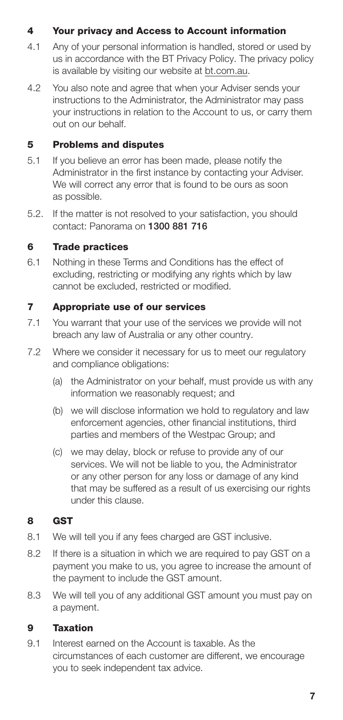#### <span id="page-7-0"></span>4 Your privacy and Access to Account information

- 4.1 Any of your personal information is handled, stored or used by us in accordance with the BT Privacy Policy. The privacy policy is available by visiting our website at bt.com.au.
- 4.2 You also note and agree that when your Adviser sends your instructions to the Administrator, the Administrator may pass your instructions in relation to the Account to us, or carry them out on our behalf.

#### 5 Problems and disputes

- 5.1 If you believe an error has been made, please notify the Administrator in the first instance by contacting your Adviser. We will correct any error that is found to be ours as soon as possible.
- 5.2. If the matter is not resolved to your satisfaction, you should contact: Panorama on 1300 881 716

#### 6 Trade practices

6.1 Nothing in these Terms and Conditions has the effect of excluding, restricting or modifying any rights which by law cannot be excluded, restricted or modified.

#### 7 Appropriate use of our services

- 7.1 You warrant that your use of the services we provide will not breach any law of Australia or any other country.
- 7.2 Where we consider it necessary for us to meet our regulatory and compliance obligations:
	- (a) the Administrator on your behalf, must provide us with any information we reasonably request; and
	- (b) we will disclose information we hold to regulatory and law enforcement agencies, other financial institutions, third parties and members of the Westpac Group; and
	- (c) we may delay, block or refuse to provide any of our services. We will not be liable to you, the Administrator or any other person for any loss or damage of any kind that may be suffered as a result of us exercising our rights under this clause.

#### 8 GST

- 8.1 We will tell you if any fees charged are GST inclusive.
- 8.2 If there is a situation in which we are required to pay GST on a payment you make to us, you agree to increase the amount of the payment to include the GST amount.
- 8.3 We will tell you of any additional GST amount you must pay on a payment.

#### 9 Taxation

9.1 Interest earned on the Account is taxable. As the circumstances of each customer are different, we encourage you to seek independent tax advice.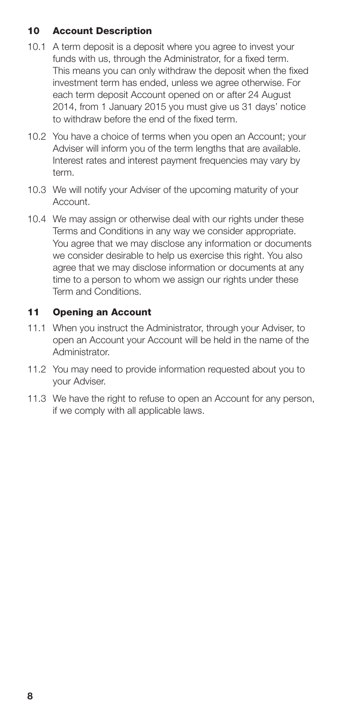#### <span id="page-8-0"></span>10 Account Description

- 10.1 A term deposit is a deposit where you agree to invest your funds with us, through the Administrator, for a fixed term. This means you can only withdraw the deposit when the fixed investment term has ended, unless we agree otherwise. For each term deposit Account opened on or after 24 August 2014, from 1 January 2015 you must give us 31 days' notice to withdraw before the end of the fixed term.
- 10.2 You have a choice of terms when you open an Account; your Adviser will inform you of the term lengths that are available. Interest rates and interest payment frequencies may vary by term.
- 10.3 We will notify your Adviser of the upcoming maturity of your Account.
- 10.4 We may assign or otherwise deal with our rights under these Terms and Conditions in any way we consider appropriate. You agree that we may disclose any information or documents we consider desirable to help us exercise this right. You also agree that we may disclose information or documents at any time to a person to whom we assign our rights under these Term and Conditions.

#### 11 Opening an Account

- 11.1 When you instruct the Administrator, through your Adviser, to open an Account your Account will be held in the name of the Administrator.
- 11.2 You may need to provide information requested about you to your Adviser.
- 11.3 We have the right to refuse to open an Account for any person. if we comply with all applicable laws.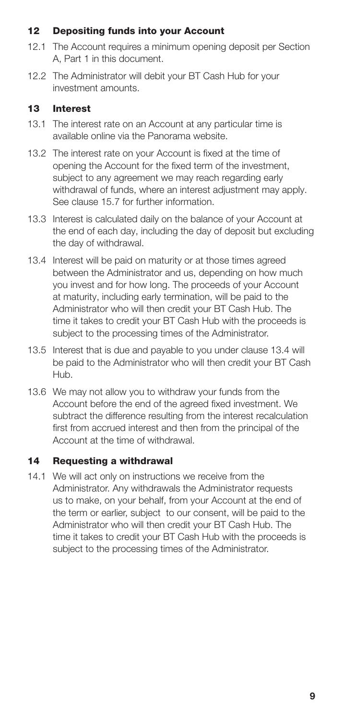#### <span id="page-9-0"></span>12 Depositing funds into your Account

- 12.1 The Account requires a minimum opening deposit per Section A, Part 1 in this document.
- 12.2 The Administrator will debit your BT Cash Hub for your investment amounts.

#### 13 Interest

- 13.1 The interest rate on an Account at any particular time is available online via the Panorama website.
- 13.2 The interest rate on your Account is fixed at the time of opening the Account for the fixed term of the investment, subject to any agreement we may reach regarding early withdrawal of funds, where an interest adjustment may apply. See clause 15.7 for further information.
- 13.3 Interest is calculated daily on the balance of your Account at the end of each day, including the day of deposit but excluding the day of withdrawal.
- 13.4 Interest will be paid on maturity or at those times agreed between the Administrator and us, depending on how much you invest and for how long. The proceeds of your Account at maturity, including early termination, will be paid to the Administrator who will then credit your BT Cash Hub. The time it takes to credit your BT Cash Hub with the proceeds is subject to the processing times of the Administrator.
- 13.5 Interest that is due and payable to you under clause 13.4 will be paid to the Administrator who will then credit your BT Cash Hub.
- 13.6 We may not allow you to withdraw your funds from the Account before the end of the agreed fixed investment. We subtract the difference resulting from the interest recalculation first from accrued interest and then from the principal of the Account at the time of withdrawal.

#### 14 Requesting a withdrawal

14.1 We will act only on instructions we receive from the Administrator. Any withdrawals the Administrator requests us to make, on your behalf, from your Account at the end of the term or earlier, subject to our consent, will be paid to the Administrator who will then credit your BT Cash Hub. The time it takes to credit your BT Cash Hub with the proceeds is subject to the processing times of the Administrator.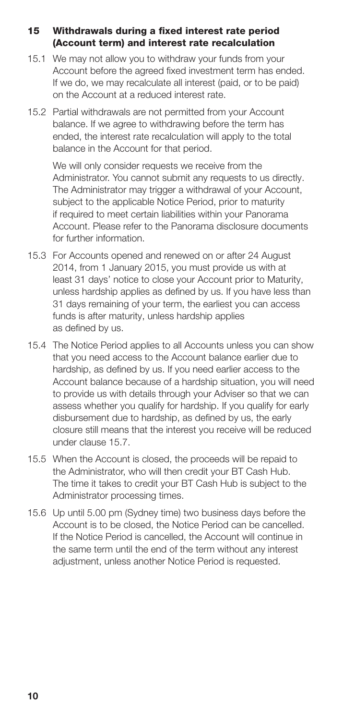#### <span id="page-10-0"></span>15 Withdrawals during a fixed interest rate period (Account term) and interest rate recalculation

- 15.1 We may not allow you to withdraw your funds from your Account before the agreed fixed investment term has ended. If we do, we may recalculate all interest (paid, or to be paid) on the Account at a reduced interest rate.
- 15.2 Partial withdrawals are not permitted from your Account balance. If we agree to withdrawing before the term has ended, the interest rate recalculation will apply to the total balance in the Account for that period.

We will only consider requests we receive from the Administrator. You cannot submit any requests to us directly. The Administrator may trigger a withdrawal of your Account, subject to the applicable Notice Period, prior to maturity if required to meet certain liabilities within your Panorama Account. Please refer to the Panorama disclosure documents for further information.

- 15.3 For Accounts opened and renewed on or after 24 August 2014, from 1 January 2015, you must provide us with at least 31 days' notice to close your Account prior to Maturity, unless hardship applies as defined by us. If you have less than 31 days remaining of your term, the earliest you can access funds is after maturity, unless hardship applies as defined by us.
- 15.4 The Notice Period applies to all Accounts unless you can show that you need access to the Account balance earlier due to hardship, as defined by us. If you need earlier access to the Account balance because of a hardship situation, you will need to provide us with details through your Adviser so that we can assess whether you qualify for hardship. If you qualify for early disbursement due to hardship, as defined by us, the early closure still means that the interest you receive will be reduced under clause 15.7.
- 15.5 When the Account is closed, the proceeds will be repaid to the Administrator, who will then credit your BT Cash Hub. The time it takes to credit your BT Cash Hub is subject to the Administrator processing times.
- 15.6 Up until 5.00 pm (Sydney time) two business days before the Account is to be closed, the Notice Period can be cancelled. If the Notice Period is cancelled, the Account will continue in the same term until the end of the term without any interest adjustment, unless another Notice Period is requested.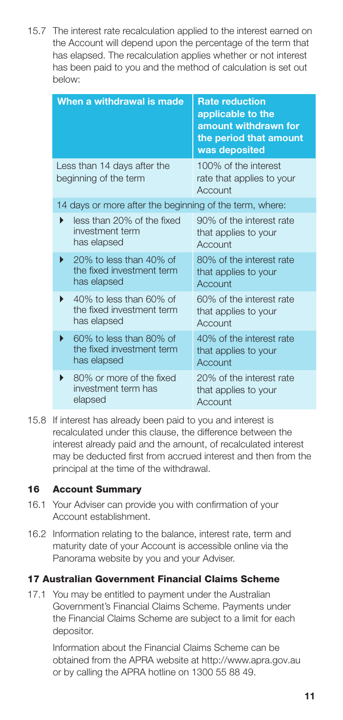<span id="page-11-0"></span>15.7 The interest rate recalculation applied to the interest earned on the Account will depend upon the percentage of the term that has elapsed. The recalculation applies whether or not interest has been paid to you and the method of calculation is set out below:

| When a withdrawal is made                                                | <b>Rate reduction</b><br>applicable to the<br>amount withdrawn for<br>the period that amount<br>was deposited |
|--------------------------------------------------------------------------|---------------------------------------------------------------------------------------------------------------|
| Less than 14 days after the<br>beginning of the term                     | 100% of the interest<br>rate that applies to your<br>Account                                                  |
| 14 days or more after the beginning of the term, where:                  |                                                                                                               |
| less than 20% of the fixed<br>investment term<br>has elapsed             | 90% of the interest rate<br>that applies to your<br>Account                                                   |
| 20% to less than 40% of<br>▶<br>the fixed investment term<br>has elapsed | 80% of the interest rate<br>that applies to your<br>Account                                                   |
| 40% to less than 60% of<br>▶<br>the fixed investment term<br>has elapsed | 60% of the interest rate<br>that applies to your<br>Account                                                   |
| 60% to less than 80% of<br>▶<br>the fixed investment term<br>has elapsed | 40% of the interest rate<br>that applies to your<br>Account                                                   |
| 80% or more of the fixed<br>▶<br>investment term has<br>elapsed          | 20% of the interest rate<br>that applies to your<br>Account                                                   |

15.8 If interest has already been paid to you and interest is recalculated under this clause, the difference between the interest already paid and the amount, of recalculated interest may be deducted first from accrued interest and then from the principal at the time of the withdrawal.

#### 16 Account Summary

- 16.1 Your Adviser can provide you with confirmation of your Account establishment.
- 16.2 Information relating to the balance, interest rate, term and maturity date of your Account is accessible online via the Panorama website by you and your Adviser.

#### 17 Australian Government Financial Claims Scheme

17.1 You may be entitled to payment under the Australian Government's Financial Claims Scheme. Payments under the Financial Claims Scheme are subject to a limit for each depositor.

 Information about the Financial Claims Scheme can be obtained from the APRA website at http://www.apra.gov.au or by calling the APRA hotline on 1300 55 88 49.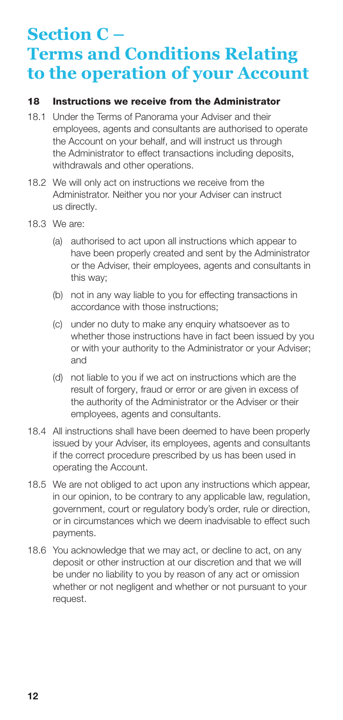# <span id="page-12-0"></span>**Section C – Terms and Conditions Relating to the operation of your Account**

#### 18 Instructions we receive from the Administrator

- 18.1 Under the Terms of Panorama your Adviser and their employees, agents and consultants are authorised to operate the Account on your behalf, and will instruct us through the Administrator to effect transactions including deposits, withdrawals and other operations.
- 18.2 We will only act on instructions we receive from the Administrator. Neither you nor your Adviser can instruct us directly.
- 18.3 We are:
	- (a) authorised to act upon all instructions which appear to have been properly created and sent by the Administrator or the Adviser, their employees, agents and consultants in this way;
	- (b) not in any way liable to you for effecting transactions in accordance with those instructions;
	- (c) under no duty to make any enquiry whatsoever as to whether those instructions have in fact been issued by you or with your authority to the Administrator or your Adviser; and
	- (d) not liable to you if we act on instructions which are the result of forgery, fraud or error or are given in excess of the authority of the Administrator or the Adviser or their employees, agents and consultants.
- 18.4 All instructions shall have been deemed to have been properly issued by your Adviser, its employees, agents and consultants if the correct procedure prescribed by us has been used in operating the Account.
- 18.5 We are not obliged to act upon any instructions which appear, in our opinion, to be contrary to any applicable law, regulation, government, court or regulatory body's order, rule or direction, or in circumstances which we deem inadvisable to effect such payments.
- 18.6 You acknowledge that we may act, or decline to act, on any deposit or other instruction at our discretion and that we will be under no liability to you by reason of any act or omission whether or not negligent and whether or not pursuant to your request.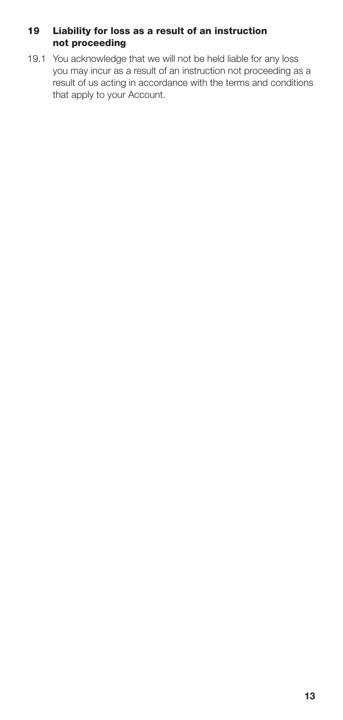#### <span id="page-13-0"></span>19 Liability for loss as a result of an instruction not proceeding

19.1 You acknowledge that we will not be held liable for any loss you may incur as a result of an instruction not proceeding as a result of us acting in accordance with the terms and conditions that apply to your Account.